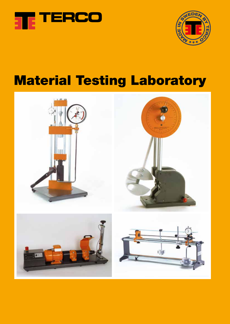



# Material Testing Laboratory

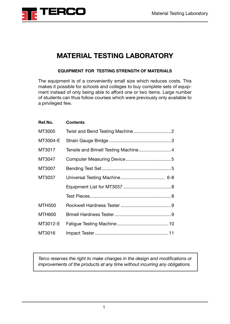

### **MATERIAL TESTING LABORATORY**

#### **EQUIPMENT FOR TESTING STRENGTH OF MATERIALS**

The equipment is of a conveniently small size which reduces costs. This makes it possible for schools and colleges to buy complete sets of equipment instead of only being able to afford one or two items. Large number of students can thus follow courses which were previously only available to a privileged few.

| Ref.No.       | <b>Contents</b> |
|---------------|-----------------|
| MT3005        |                 |
| MT3004-E      |                 |
| MT3017        |                 |
| MT3047        |                 |
| MT3007        |                 |
| MT3037        |                 |
|               |                 |
|               |                 |
| <b>MTH500</b> |                 |
| <b>MTH600</b> |                 |
| MT3012-E      |                 |
| MT3016        |                 |

*Terco reserves the right to make changes in the design and modifications or improvements of the products at any time without incurring any obligations*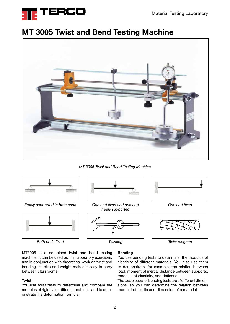

### **MT 3005 Twist and Bend Testing Machine**



*MT 3005 Twist and Bend Testing Machine*



*Freely supported in both ends One end fixed*



*Both ends fixed Twisting Twist diagram*



*One end fixed and one end freely supported*







MT3005 is a combined twist and bend testing machine. It can be used both in laboratory exercises, and in conjunction with theoretical work on twist and bending. Its size and weight makes it easy to carry between classrooms.

#### **Twist**

You use twist tests to determine and compare the modulus of rigidity for different materials and to demonstrate the deformation formula.

#### **Bending**

You use bending tests to determine the modulus of elasticity of different materials. You also use them to demonstrate, for example, the relation between load, moment of inertia, distance between supports, modulus of elasticity, and deflection.

The test pieces for bending tests are of different dimensions, so you can determine the relation between moment of inertia and dimension of a material.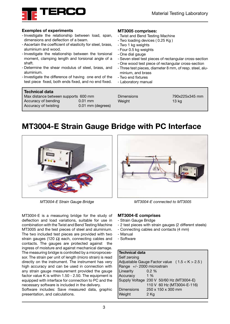

#### **Exemples of experiments**

- -Investigate the relationship between load, span, dimensions and deflection of a beam.
- Ascertain the coefficient of elasticity for steel, brass, aluminium and wood.
- -Investigate the relationship between the torsional moment, clamping length and torsional angle of a shaft.
- Determine the shear modulus of steel, brass, and aluminium.
- -Investigate the difference of having one end of the test piece fixed, both ends fixed, and no end fixed.

| <b>Technical data</b>                |                   |                   |
|--------------------------------------|-------------------|-------------------|
| Max distance between supports 600 mm |                   | <b>Dimensions</b> |
| Accuracy of bending                  | $0.01$ mm         | Weight            |
| Accuracy of twisting                 | 0.01 mm (degrees) |                   |

#### **MT3005 comprises:**

- Twist and Bend Testing Machine
- Two loading devices ( 0.25 Kg )
- Two 1 kg weights
- Four 0.5 kg weights
- One dial gauge
- Seven steel test pieces of rectangular cross-section
- One wood test piece of rectangular cross-section
- Three test pieces, diameter 8 mm, of resp. steel, aluminium, and brass
- Two end fixtures
- Laboratory manual

Dimensions 790x225x345 mm  $13$  kg

### **MT3004-E Strain Gauge Bridge with PC Interface**



*MT3004-E Strain Gauge Bridge* 

MT3004-E is a measuring bridge for the study of deflection and load variations, suitable for use in combination with the Twist and Bend Testing Machine MT3005 and the test pieces of steel and aluminium. The two included test pieces are provided with two strain gauges (120  $\Omega$ ) each, connecting cables and contacts. The gauges are protected against the ingress of moisture and against mechanical damage. The measuring bridge is controlled by a microprocessor. The strain per unit of length (micro strain) is read directly on the instrument. The instrument has very high accuracy and can be used in connection with any strain gauge measurement provided the gauge factor value K is within 1.50 - 2.50. The equipment is equipped with interface for connection to PC and the necessary software is included in the delivery.

Software includes: Save measured data, graphic presentation, and calculations.



*MT3004-E connected to MT3005*

#### **MT3004-E comprises**

- Strain Gauge Bridge
- 2 test pieces with strain gauges (2 different steels)
- Connecting cables and contacts (4 mm)
- Manual
- Software

#### **Technical data**

| Self zeroing               |                                                 |
|----------------------------|-------------------------------------------------|
|                            | Adjustable Gauge Factor value $(1.5 < K > 2.5)$ |
| Range +/- 2000 microstrain |                                                 |
| Linearity                  | $0.2 \%$                                        |
| Accuracy                   | $1\%$                                           |
|                            | Supply Voltage 230 V 50/60 Hz (MT3004-E)        |
|                            | 110 V 60 Hz (MT3004-E-116)                      |
| Dimensions                 | 250 x 150 x 300 mm                              |
| Weight                     | 2 Kg                                            |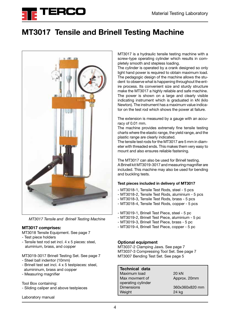

### **MT3017 Tensile and Brinell Testing Machine**



*MT3017 Tensile and Brinell Testing Machine*

#### **MT3017 comprises:**

MT3018 Tensile Equipment. See page 7

- Test piece holders
- Tensile test rod set incl. 4 x 5 pieces: steel, aluminium, brass, and copper
- MT3019-3017 Brinell Testing Set. See page 7
- Steel ball indentor (10mm)
- Brinell test set incl. 4 x 5 testpieces: steel, alumininum, brass and copper
- Measuring magnifier

Tool Box containing:

- Sliding caliper and above testpieces

Laboratory manual

MT3017 is a hydraulic tensile testing machine with a screw-type operating cylinder which results in completely smooth and stepless loading.

The cylinder is operated by a crank designed so only light hand power is required to obtain maximum load. The pedagogic design of the machine allows the student to observe what is happening throughout the entire process. Its convenient size and sturdy structure make the MT3017 a highly reliable and safe machine. The power is shown on a large and clearly visible indicating instrument which is graduated in kN (kilo Newton). The instrument has a maximum value indicator on the test rod which shows the power at failure.

The extension is measured by a gauge with an accuracy of 0.01 mm.

The machine provides extremely fine tensile testing charts where the elastic range, the yield range, and the plastic range are clearly indicated.

The tensile test rods for the MT3017 are 5 mm in diameter with threaded ends. This makes them very easy to mount and also ensures reliable fastening.

The MT3017 can also be used for Brinell testing. A Brinell kit MT3019-3017 and measuring magnifier are included. This machine may also be used for bending and buckling tests.

#### **Test pieces included in delivery of MT3017**

- MT3018-1, Tensile Test Rods, steel 5 pcs
- MT3018-2, Tensile Test Rods, aluminium 5 pcs
- MT3018-3, Tensile Test Rods, brass 5 pcs
- MT3018-4, Tensile Test Rods, copper 5 pcs
- MT3019-1, Brinell Test Piece, steel 5 pc
- MT3019-2, Brinell Test Piece, aluminium 5 pc
- MT3019-3, Brinell Test Piece, brass 5 pc
- MT3019-4, Brinell Test Piece, copper 5 pc

#### **Optional equipment**

MT3037-2 Clamping Jaws. See page 7 MT3037-3 Compressing Tool Set. See page 7 MT3007 Bending Test Set. See page 5

**Technical data** Maximum load 20 kN Max movment of Approx. 20mm operating cylinder Dimensions 360x360x820 mm Weight 24 kg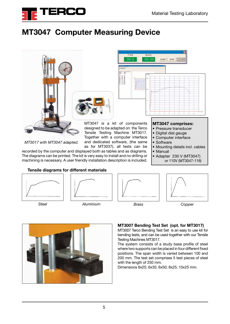

## **MT3047 Computer Measuring Device**



#### **Tensile diagrams for different materials**













#### **MT3007 Bending Test Set (opt. for MT3017)**

MT3007 Terco Bending Test Set is an easy to use kit for bending tests, and can be used together with our Tensile Testing Machines MT3017.

The system consists of a study base profile of steel where two supports can be placed in four different fixed positions. The span width is varied between 100 and 200 mm. The test set comprises 5 test pieces of steel with the length of 250 mm.

Dimensions 6x25; 6x35; 6x50; 8x25; 10x25 mm.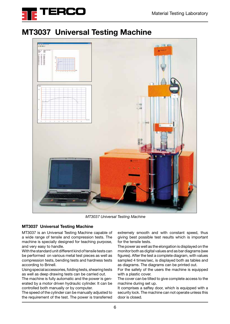

### **MT3037 Universal Testing Machine**



 *MT3037 Universal Testing Machine*

#### **MT3037 Universal Testing Machine**

MT3037 is an Universal Testing Machine capable of a wide range of tensile and compression tests. The machine is specially designed for teaching purpose, and very easy to handle.

With the standard unit different kind of tensile tests can be performed on various metal test pieces as well as compression tests, bending tests and hardness tests according to Brinell.

Using special accessories, folding tests, shearing tests as well as deep drawing tests can be carried out.

The machine is fully automatic and the power is generated by a motor driven hydraulic cylinder. It can be controlled both manually or by computer.

The speed of the cylinder can be manually adjusted to the requirement of the test. The power is transferred extremely smooth and with constant speed, thus giving best possible test results which is important for the tensile tests.

The power as well as the elongation is displayed on the monitor both as digital values and as bar diagrams (see figures). After the test a complete diagram, with values sampled 4 times/sec, is displayed both as tables and as diagrams. The diagrams can be printed out.

For the safety of the users the machine is equipped with a plastic cover.

The cover can be tilted to give complete access to the machine during set up.

It comprises a saftey door, which is equipped with a security lock. The machine can not operate unless this door is closed.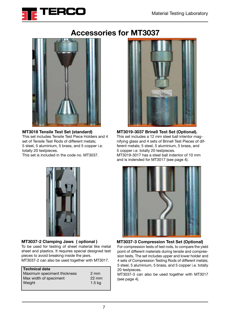

### **Accessories for MT3037**



#### **MT3018 Tensile Test Set (standard)**

This set includes Tensile Test Piece Holders and 4 set of Tensile Test Rods of different metals; 5 steel, 5 aluminium, 5 brass, and 5 copper i.e. totally 20 testpieces.

This set is included in the code no. MT3037.



**MT3019-3037 Brinell Test Set (Optional).**  This set includes a 12 mm steel ball intentor magnifying glass and 4 sets of Brinell Test Pieces of different metals; 5 steel, 5 aluminium, 5 brass, and 5 copper i.e. totally 20 testpieces. MT3019-3017 has a steel ball indentor of 10 mm and is indended for MT3017 (see page 4).



#### **MT3037-2 Clamping Jaws ( optional )**

To be used for testing of sheet material like metal sheet and plastics. It requires special designed test pieces to avoid breaking inside the jaws. MT3037-2 can also be used together with MT3017.

| <b>Technical data</b>       |                 |
|-----------------------------|-----------------|
| Maximum speciment thickness | $2 \text{ mm}$  |
| Max width of speciment      | $22 \text{ mm}$ |
| Weight                      | $1.5$ kg        |
|                             |                 |



For compression tests of test rods, to compare the yield **MT3037-3 Compression Test Set (Optional)**

point of different materials during tensile and compression tests. The set includes upper and lower holder and 4 sets of Compression Testing Rods of different metals; 5 steel, 5 aluminium, 5 brass, and 5 copper i.e. totally 20 testpieces.

MT3037-3 can also be used together with MT3017 (see page 4).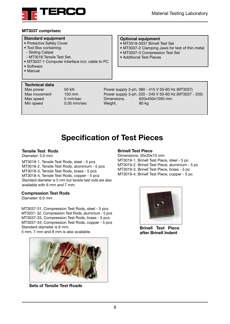

#### **MT3037 comprises:**

#### **Standard equipment**

- Protective Safety Cover
- Tool Box containing
- Sliding Caliper
- MT3018 Tensile Test Set.
- MT3037-1 Computer Interface incl. cable to PC
- Software
- Manual

#### **Technical data**

Max power 50 kN Max movement 150 mm Max speed 5 mm/sec Min speed 0.05 mm/sec

#### **Optional equipment**

- MT3019-3037 Brinell Test Set
- MT3037-2 Clamping Jaws for test of thin metal
- MT3037-3 Compression Test Set
- Additional Test Pieces

Power supply 3-ph. 380 - 415 V 50-60 Hz (MT3037) Power supply 3-ph. 220 - 240 V 50-60 Hz (MT3037 - 235) Dimensions. 620x450x1050 mm Weight. 80 kg

### **Specification of Test Pieces**

#### **Tensile Test Rods**

Diameter: 5.0 mm

MT3018-1, Tensile Test Rods, steel - 5 pcs MT3018-2, Tensile Test Rods, aluminium - 5 pcs MT3018-3, Tensile Test Rods, brass - 5 pcs MT3018-4, Tensile Test Rods, copper - 5 pcs Standard diameter is 5 mm but tensile test rods are also available with 6 mm and 7 mm.

#### **Compression Test Rods**

Diameter: 6.0 mm

MT3037-31, Compression Test Rods, steel - 5 pcs MT3037- 32, Compression Test Rods, aluminium - 5 pcs MT3037-33, Compression Test Rods, brass - 5 pcs MT3037-34, Compression Test Rods, copper - 5 pcs Standard diameter is 6 mm.

5 mm, 7 mm and 8 mm is also available.



**Sets of Tensile Test Roads**

#### **Brinell Test Piece**

Dimensions: 30x30x10 mm MT3019-1, Brinell Test Piece, steel - 5 pc MT3019-2, Brinell Test Piece, aluminium - 5 pc MT3019-3, Brinell Test Piece, brass - 5 pc MT3019-4, Brinell Test Piece, copper - 5 pc



**Brinell Test Piece after Brinell Indent**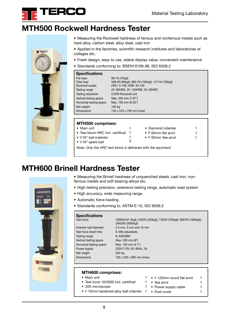

### **MTH500 Rockwell Hardness Tester**



- Measuring the Rockwell hardness of ferrous and nonferrous metals such as hard alloy, carbon steel, alloy steel, cast iron
- Applied in the factories, scientific research institutes and laboratories of colleges etc.
- Fresh design, easy to use, stable display value, convenient maintenance
- Standards conforming to: BSEN10109-96, ISO 6508.2

| <b>Specifications</b>     |                                                 |
|---------------------------|-------------------------------------------------|
| Pre-load                  | 98.1N (10kgf)                                   |
| Total load                | 588.4N (60kgf), 980.7N (100kgf), 1471N (150kgf) |
| Rockwell scales           | HRC: 0-100, HRB: 30-130                         |
| Testing range             | 20~80HRA, 20~100HRB, 20~80HRC                   |
| <b>Testing resolution</b> | 0.5HR Rockwell unit                             |
| Vertical testing space    | Max. 200 mm (7.87")                             |
| Horzontal testing space   | Max. 160 mm (6.30")                             |
| Net weight                | 100 kg                                          |
| <b>Dimensions</b>         | 720 x 225 x 790 mm (max)                        |

#### **MTH500 comprises:**

- Main unit
- Test block HRC incl. certificat 1
- 1/16" ball indenter
	- 1/16" spare ball
- 1 3
- F 60mm flat anvil 1 • F 60mm Vee anvil 1

• Diamond indenter 1

*Note: Only the HRC test block is delivered with the equiment.*

1

### **MTH600 Brinell Hardness Tester**

- Measuring the Brinell hardness of unquenched steels, cast iron, nonferrous metals and soft bearing-alloys etc.
- High testing precision, extensive testing range, automatic load system
- High accuracy, wide measuring range.
- Automatic force loading.
- Standards conforming to: ASTM E-10, ISO 6506.2

### **Specifications**

Test force dwell time 6~99s adjustable Testing range 8~650HBW Vertical testing space Max. 230 mm (9") Horzontal testing space Max. 120 mm (4.7") Net weight 220 kg Dimensions 730 x 230 x 890 mm (max)

Test force 1839N(187.5kgf), 2452N (250kgf), 7355N (750kgf), 9807N (1000kgf), 29420N (3000kgf) Indenter ball diameter 2.5 mm, 5 mm and 10 mm Power supply 220V/110V, 50~60Hz, 2A

#### **MTH600 comprises:**

• 20X microscope 1

- Main unit
- Test bock 10/3000 incl. certificat 1  $\bullet$  F 120mm round flat anvil 1
	- Vee anvil 1
	- Power supply cable 1
- F 10mm hardened alloy ball indenter 1 Dust cover 1



9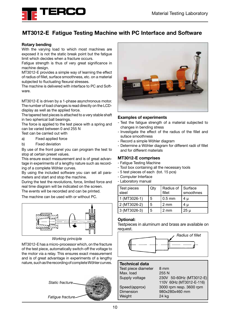

### **MT3012-E Fatigue Testing Machine with PC Interface and Software**

#### **Rotary bending**

With the varying load to which most machines are exposed it is not the static break point but the fatigue limit which decides when a fracture occurs.

Fatigue strength is thus of very great significance in machine design.

MT3012-E provides a simple way of learning the effect of radius of fillet, surface smoothness, etc. on a material subjected to fluctuating flexural stresses.

The machine is delivered with interface to PC and Software.

MT3012-E is driven by a 1-phase asynchronous motor. The number of load changes is read directly on the LCDdisplay as well as the applied force.

The tapered test pieces is attached to a very stable shaft in two spherical ball bearings.

The force is applied to the test piece with a spring and can be varied between 0 and 255 N

Test can be carried out with

- a) Fixed applied force
- b) Fixed deviation

By use of the front panel you can program the test to stop at certain preset values.

This ensure exact measurement and is of great advantage in experiments of a lengthy nature such as recording of a complete Wöhler curves.

By using the included software you can set all parameters and start and stop the machine.

During the test the revolutions, force, limited force and real time diagram will be indicated on the screen.

The events will be recorded and can be printed.

The machine can be used with or without PC.



*Working principle*

MT3012-E has a micro-processor which, on the fracture of the test piece, automatically switch-off the voltage to the motor via a relay. This ensures exact measurement and is of great advantage in experiments of a lengthy nature, such as the recording of complete Wöhler curves.





#### **Examples of experiments**

- Test the fatigue strength of a material subjected to changes in bending stress
- Investigate the effect of the radius of the fillet and suface smoothness
- Record a simple Wöhler diagram
- Determine a Wöhler diagram for different radii of fillet and for different materials

#### **MT3012-E comprises**

- Fatigue Testing Machine
- Tool box containing all the necessary tools
- 5 test pieces of each (tot. 15 pcs)
- Computer Interface
- Laboratory manual

| Test pieces<br>steel | Qty | Radius of Surface<br>fillet | smoothnes |
|----------------------|-----|-----------------------------|-----------|
| 1 (MT3026-1)         | 5   | $0.5$ mm                    | 4 µ       |
| 2 (MT3026-2)         | 5   | 2 mm                        | 4 µ       |
| 3 (MT3026-3)         | 5   | 2 mm                        | $25 \mu$  |

#### **Optional:**

Testpieces in aluminum and brass are available on request.



### **Technical data**

Test piece diameter 8 mm Max. load 255 N Dimension 980x280x460 mm Weight 24 kg

Supply voltage 230V 50-60Hz (MT3012-E) 110V 60Hz (MT3012-E-116) Speed(approx) 3000 rpm resp. 3600 rpm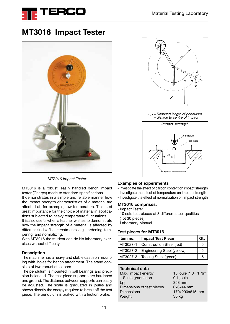

### **MT3016 Impact Tester**



*MT3016 Impact Tester* 

MT3016 is a robust, easily handled bench impact tester (Charpy) made to standard specifications.

It demonstrates in a simple and reliable manner how the impact strength characteristics of a material are affected at, for example, low temperature. This is of great importance for the choice of material in applications subjected to heavy temperature fluctuations.

It is also useful when a teacher wishes to demonstrate how the impact strength of a material is affected by different kinds of heat treatments, e.g. hardening, tempering, and normalizing.

With MT3016 the student can do his laboratory exercises without difficulty.

#### **Description**

The machine has a heavy and stable cast iron mounting with holes for bench attachment. The stand consists of two robust steel bars.

The pendulum is mounted in ball bearings and precision balanced. The test piece supports are hardened and ground. The distance between supports can easily be adjusted. The scale is graduated in joules and shows directly the energy required to break off the test piece. The pendulum is braked with a friction brake.





#### **Examples of experiments**

- Investigate the effect of carbon content on impact strength
- Investigate the effect of temperature on impact strength
- Investigate the effect of normalization on impact strength

#### **MT3016 comprises:**

- -Impact Tester
- 10 sets test pieces of 3 different steel qualities (Tot 30 pieces)
- Laboratory Manual

#### **Test pieces for MT3016**

| l Item no. | Impact Test Piece                     |   |
|------------|---------------------------------------|---|
|            | MT3027-1   Construction Steel (red)   | 5 |
|            | MT3027-2   Engineering Steel (yellow) | 5 |
|            | MT3027-3   Tooling Steel (green)      | h |

| <b>Technical data</b>     |                         |
|---------------------------|-------------------------|
| Max. impact energy        | 15 joule $(1 J = 1 Nm)$ |
| 1 Scale graduation        | 0.1 joule               |
| LR                        | 358 mm                  |
| Dimensions of test pieces | $6x6x44$ mm             |
| <b>Dimensions</b>         | 170x290x615 mm          |
| Weight                    | 30 kg                   |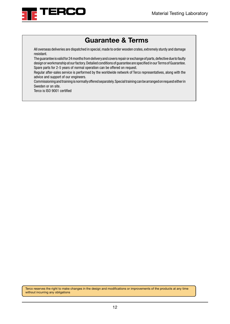

### **Guarantee & Terms**

All overseas deliveries are dispatched in special, made to order wooden crates, extremely sturdy and damage resistant.

The guarantee is valid for 24 months from delivery and covers repair or exchange of parts, defective due to faulty design or workmanship at our factory. Detailed conditions of guarantee are specified in our Terms of Guarantee. Spare parts for 2-5 years of normal operation can be offered on request.

Regular after-sales service is performed by the worldwide network of Terco representatives, along with the advice and support of our engineers.

Commissioning and training is normally offered separately. Special training can be arranged on request either in Sweden or on site.

Terco is ISO 9001 certified

Terco reserves the right to make changes in the design and modifications or improvements of the products at any time without incurring any obligations